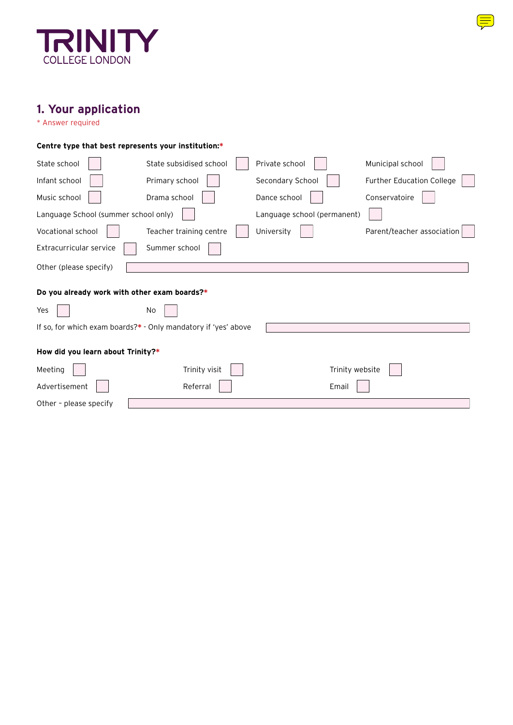

# **1. Your application**

\* Answer required

| Centre type that best represents your institution:* |                                                                |                             |                            |  |  |  |
|-----------------------------------------------------|----------------------------------------------------------------|-----------------------------|----------------------------|--|--|--|
| State school                                        | State subsidised school                                        | Private school              | Municipal school           |  |  |  |
| Infant school                                       | Primary school                                                 | Secondary School            | Further Education College  |  |  |  |
| Music school                                        | Drama school                                                   | Dance school                | Conservatoire              |  |  |  |
| Language School (summer school only)                |                                                                | Language school (permanent) |                            |  |  |  |
| Vocational school                                   | Teacher training centre                                        | University                  | Parent/teacher association |  |  |  |
| Extracurricular service                             | Summer school                                                  |                             |                            |  |  |  |
| Other (please specify)                              |                                                                |                             |                            |  |  |  |
| Do you already work with other exam boards?*        |                                                                |                             |                            |  |  |  |
| Yes                                                 | No                                                             |                             |                            |  |  |  |
|                                                     | If so, for which exam boards?* - Only mandatory if 'yes' above |                             |                            |  |  |  |
| How did you learn about Trinity?*                   |                                                                |                             |                            |  |  |  |
| Meeting                                             | Trinity visit                                                  | Trinity website             |                            |  |  |  |
| Advertisement                                       | Referral                                                       | Email                       |                            |  |  |  |
| Other - please specify                              |                                                                |                             |                            |  |  |  |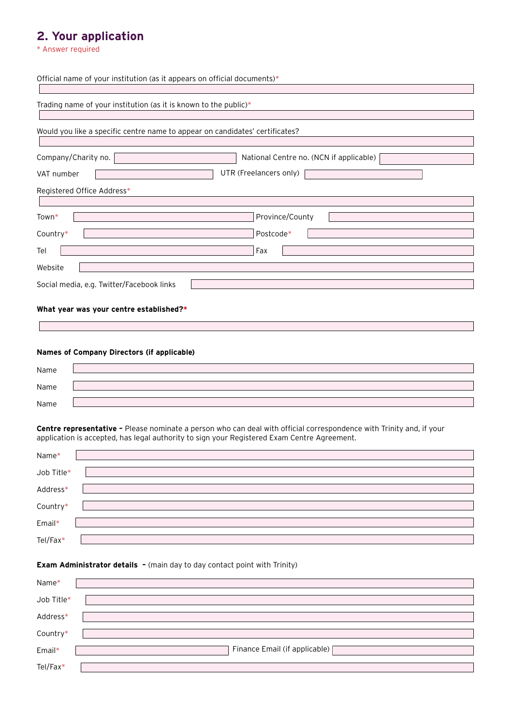# **2. Your application**

\* Answer required

| Official name of your institution (as it appears on official documents)*     |  |  |  |  |
|------------------------------------------------------------------------------|--|--|--|--|
|                                                                              |  |  |  |  |
| Trading name of your institution (as it is known to the public)*             |  |  |  |  |
|                                                                              |  |  |  |  |
| Would you like a specific centre name to appear on candidates' certificates? |  |  |  |  |
|                                                                              |  |  |  |  |
| Company/Charity no.<br>National Centre no. (NCN if applicable)               |  |  |  |  |
| UTR (Freelancers only)<br>VAT number                                         |  |  |  |  |
| Registered Office Address*                                                   |  |  |  |  |
|                                                                              |  |  |  |  |
| Province/County<br>Town*                                                     |  |  |  |  |
| Country*<br>Postcode*                                                        |  |  |  |  |
| Fax<br>Tel                                                                   |  |  |  |  |
| Website                                                                      |  |  |  |  |
|                                                                              |  |  |  |  |
| Social media, e.g. Twitter/Facebook links                                    |  |  |  |  |
|                                                                              |  |  |  |  |

# **What year was your centre established?\***

## **Names of Company Directors (if applicable)**

| Name |  |
|------|--|
| Name |  |
| Name |  |

**Centre representative –** Please nominate a person who can deal with official correspondence with Trinity and, if your application is accepted, has legal authority to sign your Registered Exam Centre Agreement.

| Name*      |  |
|------------|--|
| Job Title* |  |
| Address*   |  |
| Country*   |  |
| Email*     |  |
| Tel/Fax*   |  |

### **Exam Administrator details -** (main day to day contact point with Trinity)

| Name*      |                                 |
|------------|---------------------------------|
| Job Title* |                                 |
| Address*   |                                 |
| Country*   |                                 |
| Email*     | Finance Email (if applicable) [ |
| Tel/Fax*   |                                 |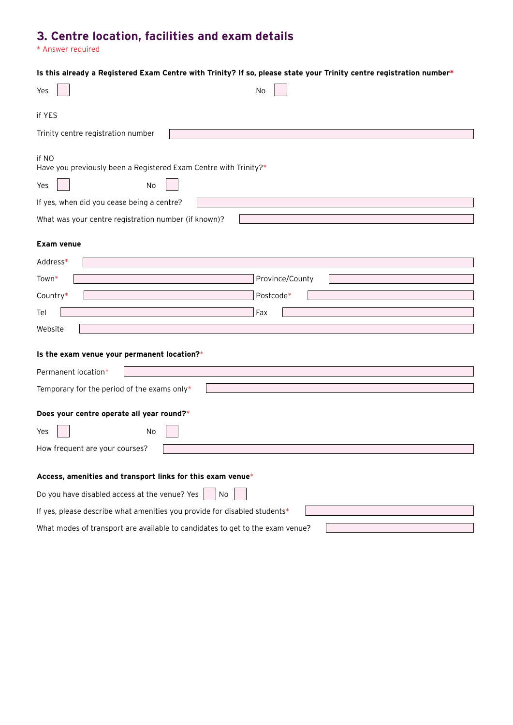# **3. Centre location, facilities and exam details**

\* Answer required

| Is this already a Registered Exam Centre with Trinity? If so, please state your Trinity centre registration number* |                 |  |  |  |
|---------------------------------------------------------------------------------------------------------------------|-----------------|--|--|--|
| Yes                                                                                                                 | No              |  |  |  |
|                                                                                                                     |                 |  |  |  |
| if YES                                                                                                              |                 |  |  |  |
| Trinity centre registration number                                                                                  |                 |  |  |  |
| if NO<br>Have you previously been a Registered Exam Centre with Trinity?*                                           |                 |  |  |  |
| No<br>Yes                                                                                                           |                 |  |  |  |
| If yes, when did you cease being a centre?                                                                          |                 |  |  |  |
| What was your centre registration number (if known)?                                                                |                 |  |  |  |
| <b>Exam venue</b>                                                                                                   |                 |  |  |  |
| Address*                                                                                                            |                 |  |  |  |
| Town*                                                                                                               | Province/County |  |  |  |
| Country*                                                                                                            | Postcode*       |  |  |  |
| Tel                                                                                                                 | Fax             |  |  |  |
| Website                                                                                                             |                 |  |  |  |
|                                                                                                                     |                 |  |  |  |
| Is the exam venue your permanent location?*                                                                         |                 |  |  |  |
| Permanent location*                                                                                                 |                 |  |  |  |
| Temporary for the period of the exams only*                                                                         |                 |  |  |  |
| Does your centre operate all year round?*                                                                           |                 |  |  |  |
| No<br>Yes                                                                                                           |                 |  |  |  |
| How frequent are your courses?                                                                                      |                 |  |  |  |
|                                                                                                                     |                 |  |  |  |
| Access, amenities and transport links for this exam venue*                                                          |                 |  |  |  |
| Do you have disabled access at the venue? Yes<br>No                                                                 |                 |  |  |  |
| If yes, please describe what amenities you provide for disabled students*                                           |                 |  |  |  |
| What modes of transport are available to candidates to get to the exam venue?                                       |                 |  |  |  |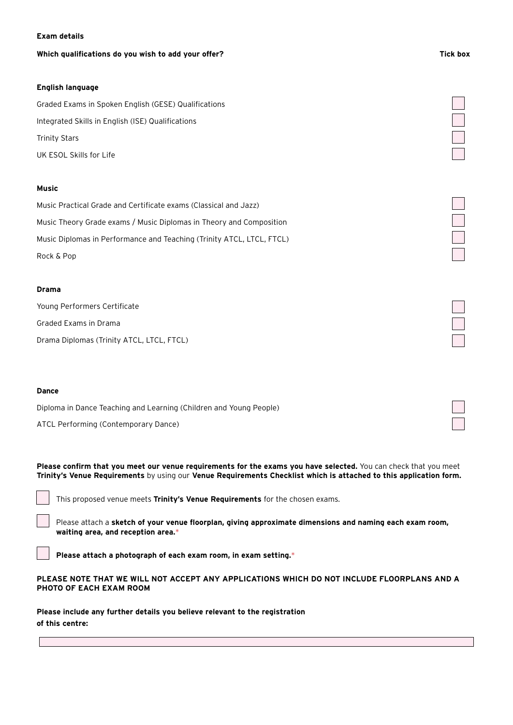### **Exam details**

### **Which qualifications do you wish to add your offer?**

### **English language**

Graded Exams in Spoken English (GESE) Qualifications Integrated Skills in English (ISE) Qualifications Trinity Stars UK ESOL Skills for Life

### **Music**

| Music Practical Grade and Certificate exams (Classical and Jazz)      |
|-----------------------------------------------------------------------|
| Music Theory Grade exams / Music Diplomas in Theory and Composition   |
| Music Diplomas in Performance and Teaching (Trinity ATCL, LTCL, FTCL) |
| Rock & Pop                                                            |

### **Drama**

Young Performers Certificate Graded Exams in Drama Drama Diplomas (Trinity ATCL, LTCL, FTCL)

### **Dance**

Diploma in Dance Teaching and Learning (Children and Young People)

ATCL Performing (Contemporary Dance)

**Please confirm that you meet our venue requirements for the exams you have selected.** You can check that you meet **Trinity's Venue Requirements** by using our **Venue Requirements Checklist which is attached to this application form.** 

This proposed venue meets **Trinity's Venue Requirements** for the chosen exams.

Please attach a **sketch of your venue floorplan, giving approximate dimensions and naming each exam room, waiting area, and reception area.**\*

**Please attach a photograph of each exam room, in exam setting.**\*

### **PLEASE NOTE THAT WE WILL NOT ACCEPT ANY APPLICATIONS WHICH DO NOT INCLUDE FLOORPLANS AND A PHOTO OF EACH EXAM ROOM**

**Please include any further details you believe relevant to the registration of this centre:**

#### **Tick box**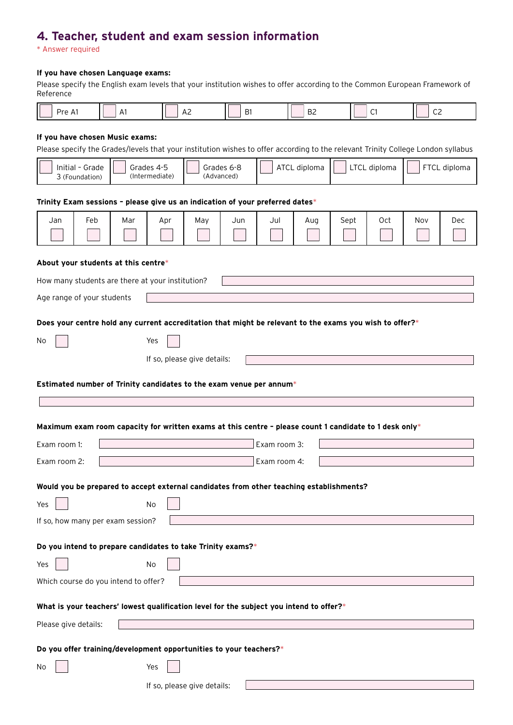# **4. Teacher, student and exam session information**

\* Answer required

### **If you have chosen Language exams:**

Please specify the English exam levels that your institution wishes to offer according to the Common European Framework of Reference

## **If you have chosen Music exams:**

Please specify the Grades/levels that your institution wishes to offer according to the relevant Trinity College London syllabus

|                                                                                         | Initial - Grade<br>3 (Foundation) |     | Grades 4-5<br>(Intermediate) | Grades 6-8<br>(Advanced)                                    |     | a diddol iardio mar four montanon mones to oner according to the relevant mility concept London by      | ATCL diploma |      | LTCL diploma |     | FTCL diploma |
|-----------------------------------------------------------------------------------------|-----------------------------------|-----|------------------------------|-------------------------------------------------------------|-----|---------------------------------------------------------------------------------------------------------|--------------|------|--------------|-----|--------------|
|                                                                                         |                                   |     |                              |                                                             |     |                                                                                                         |              |      |              |     |              |
|                                                                                         |                                   |     |                              |                                                             |     | Trinity Exam sessions - please give us an indication of your preferred dates*                           |              |      |              |     |              |
| Jan                                                                                     | Feb                               | Mar | Apr                          | May                                                         | Jun | Jul                                                                                                     | Aug          | Sept | Oct          | Nov | <b>Dec</b>   |
|                                                                                         |                                   |     |                              |                                                             |     |                                                                                                         |              |      |              |     |              |
| About your students at this centre*                                                     |                                   |     |                              |                                                             |     |                                                                                                         |              |      |              |     |              |
| How many students are there at your institution?                                        |                                   |     |                              |                                                             |     |                                                                                                         |              |      |              |     |              |
| Age range of your students                                                              |                                   |     |                              |                                                             |     |                                                                                                         |              |      |              |     |              |
|                                                                                         |                                   |     |                              |                                                             |     |                                                                                                         |              |      |              |     |              |
|                                                                                         |                                   |     |                              |                                                             |     | Does your centre hold any current accreditation that might be relevant to the exams you wish to offer?* |              |      |              |     |              |
| No                                                                                      |                                   |     | Yes                          |                                                             |     |                                                                                                         |              |      |              |     |              |
|                                                                                         |                                   |     |                              | If so, please give details:                                 |     |                                                                                                         |              |      |              |     |              |
|                                                                                         |                                   |     |                              |                                                             |     | Estimated number of Trinity candidates to the exam venue per annum*                                     |              |      |              |     |              |
|                                                                                         |                                   |     |                              |                                                             |     |                                                                                                         |              |      |              |     |              |
|                                                                                         |                                   |     |                              |                                                             |     |                                                                                                         |              |      |              |     |              |
|                                                                                         |                                   |     |                              |                                                             |     | Maximum exam room capacity for written exams at this centre - please count 1 candidate to 1 desk only*  |              |      |              |     |              |
| Exam room 1:                                                                            |                                   |     |                              |                                                             |     | Exam room 3:                                                                                            |              |      |              |     |              |
| Exam room 2:                                                                            |                                   |     |                              |                                                             |     | Exam room 4:                                                                                            |              |      |              |     |              |
|                                                                                         |                                   |     |                              |                                                             |     | Would you be prepared to accept external candidates from other teaching establishments?                 |              |      |              |     |              |
| Yes                                                                                     |                                   |     | No                           |                                                             |     |                                                                                                         |              |      |              |     |              |
| If so, how many per exam session?                                                       |                                   |     |                              |                                                             |     |                                                                                                         |              |      |              |     |              |
|                                                                                         |                                   |     |                              |                                                             |     |                                                                                                         |              |      |              |     |              |
|                                                                                         |                                   |     |                              | Do you intend to prepare candidates to take Trinity exams?* |     |                                                                                                         |              |      |              |     |              |
| Yes                                                                                     |                                   |     | No                           |                                                             |     |                                                                                                         |              |      |              |     |              |
| Which course do you intend to offer?                                                    |                                   |     |                              |                                                             |     |                                                                                                         |              |      |              |     |              |
| What is your teachers' lowest qualification level for the subject you intend to offer?* |                                   |     |                              |                                                             |     |                                                                                                         |              |      |              |     |              |
| Please give details:                                                                    |                                   |     |                              |                                                             |     |                                                                                                         |              |      |              |     |              |
| Do you offer training/development opportunities to your teachers?*                      |                                   |     |                              |                                                             |     |                                                                                                         |              |      |              |     |              |
| No                                                                                      |                                   |     | Yes                          |                                                             |     |                                                                                                         |              |      |              |     |              |
|                                                                                         |                                   |     |                              | If so, please give details:                                 |     |                                                                                                         |              |      |              |     |              |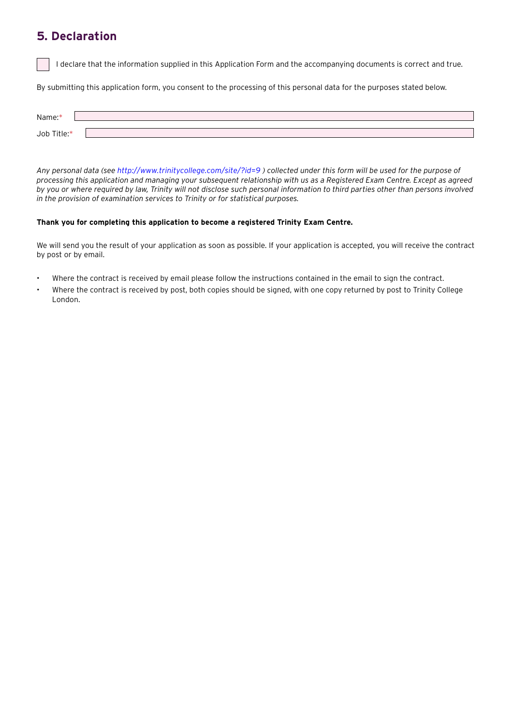## **5. Declaration**

I declare that the information supplied in this Application Form and the accompanying documents is correct and true.

By submitting this application form, you consent to the processing of this personal data for the purposes stated below.

| Name:*      |  |
|-------------|--|
| Job Title:* |  |

*Any personal data (see<http://www.trinitycollege.com/site/?id=9> ) collected under this form will be used for the purpose of processing this application and managing your subsequent relationship with us as a Registered Exam Centre. Except as agreed by you or where required by law, Trinity will not disclose such personal information to third parties other than persons involved in the provision of examination services to Trinity or for statistical purposes.* 

### **Thank you for completing this application to become a registered Trinity Exam Centre.**

We will send you the result of your application as soon as possible. If your application is accepted, you will receive the contract by post or by email.

- Where the contract is received by email please follow the instructions contained in the email to sign the contract.
- Where the contract is received by post, both copies should be signed, with one copy returned by post to Trinity College London.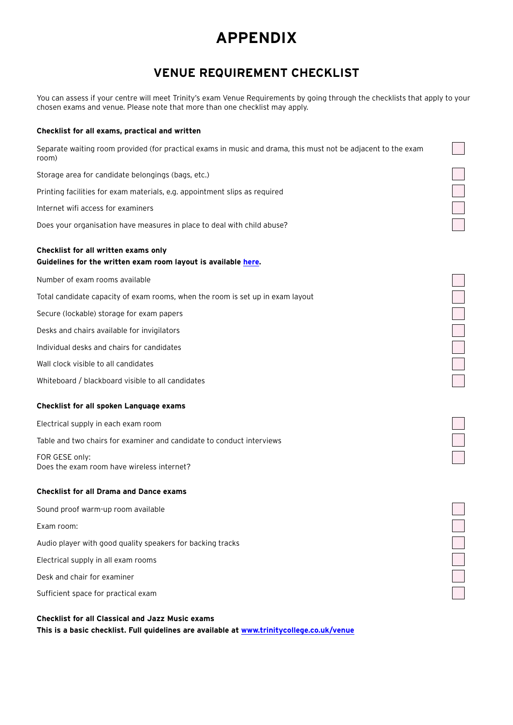# **APPENDIX**

# **VENUE REQUIREMENT CHECKLIST**

You can assess if your centre will meet Trinity's exam Venue Requirements by going through the checklists that apply to your chosen exams and venue. Please note that more than one checklist may apply.

| Checklist for all exams, practical and written                                                                         |  |
|------------------------------------------------------------------------------------------------------------------------|--|
| Separate waiting room provided (for practical exams in music and drama, this must not be adjacent to the exam<br>room) |  |
| Storage area for candidate belongings (bags, etc.)                                                                     |  |
| Printing facilities for exam materials, e.g. appointment slips as required                                             |  |
| Internet wifi access for examiners                                                                                     |  |
| Does your organisation have measures in place to deal with child abuse?                                                |  |
| Checklist for all written exams only<br>Guidelines for the written exam room layout is available here.                 |  |
| Number of exam rooms available                                                                                         |  |
| Total candidate capacity of exam rooms, when the room is set up in exam layout                                         |  |
| Secure (lockable) storage for exam papers                                                                              |  |
| Desks and chairs available for invigilators                                                                            |  |
| Individual desks and chairs for candidates                                                                             |  |
| Wall clock visible to all candidates                                                                                   |  |
| Whiteboard / blackboard visible to all candidates                                                                      |  |
| Checklist for all spoken Language exams                                                                                |  |
| Electrical supply in each exam room                                                                                    |  |
| Table and two chairs for examiner and candidate to conduct interviews                                                  |  |
| FOR GESE only:<br>Does the exam room have wireless internet?                                                           |  |
| <b>Checklist for all Drama and Dance exams</b>                                                                         |  |
| Sound proof warm-up room available                                                                                     |  |
| Exam room:                                                                                                             |  |
| Audio player with good quality speakers for backing tracks                                                             |  |
| Electrical supply in all exam rooms                                                                                    |  |
| Desk and chair for examiner                                                                                            |  |
| Sufficient space for practical exam                                                                                    |  |

**Checklist for all Classical and Jazz Music exams This is a basic checklist. Full guidelines are available at [www.trinitycollege.co.uk/venue](http://www.trinitycollege.co.uk/venue)**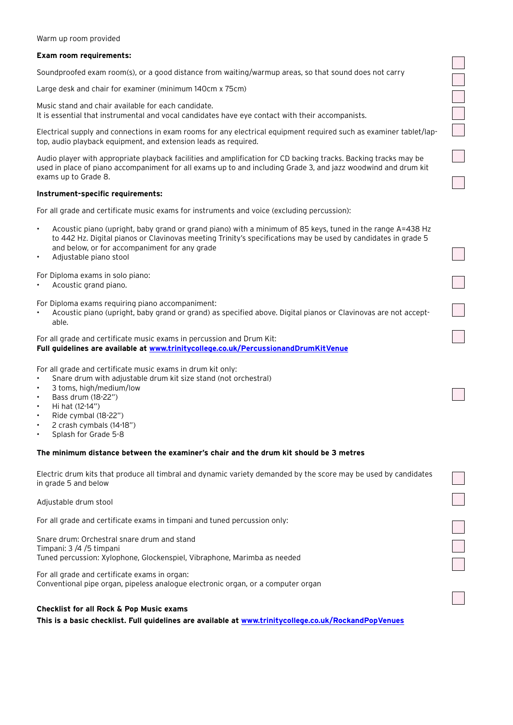#### Warm up room provided

### **Exam room requirements:**

Soundproofed exam room(s), or a good distance from waiting/warmup areas, so that sound does not carry

Large desk and chair for examiner (minimum 140cm x 75cm)

Music stand and chair available for each candidate. It is essential that instrumental and vocal candidates have eye contact with their accompanists.

Electrical supply and connections in exam rooms for any electrical equipment required such as examiner tablet/laptop, audio playback equipment, and extension leads as required.

Audio player with appropriate playback facilities and amplification for CD backing tracks. Backing tracks may be used in place of piano accompaniment for all exams up to and including Grade 3, and jazz woodwind and drum kit exams up to Grade 8.

### **Instrument-specific requirements:**

For all grade and certificate music exams for instruments and voice (excluding percussion):

- Acoustic piano (upright, baby grand or grand piano) with a minimum of 85 keys, tuned in the range A=438 Hz to 442 Hz. Digital pianos or Clavinovas meeting Trinity's specifications may be used by candidates in grade 5 and below, or for accompaniment for any grade
- Adjustable piano stool

For Diploma exams in solo piano:

Acoustic grand piano.

For Diploma exams requiring piano accompaniment:

Acoustic piano (upright, baby grand or grand) as specified above. Digital pianos or Clavinovas are not acceptable.

For all grade and certificate music exams in percussion and Drum Kit: **Full guidelines are available at [www.trinitycollege.co.uk/PercussionandDrumKitVenue](http://www.trinitycollege.co.uk/PercussionandDrumKitVenue)**

For all grade and certificate music exams in drum kit only:

- Snare drum with adjustable drum kit size stand (not orchestral)
- 3 toms, high/medium/low
- Bass drum (18-22")
- Hi hat (12-14")
- Ride cymbal (18-22")
- 2 crash cymbals (14-18")
- Splash for Grade 5-8

### **The minimum distance between the examiner's chair and the drum kit should be 3 metres**

Electric drum kits that produce all timbral and dynamic variety demanded by the score may be used by candidates in grade 5 and below

Adjustable drum stool

For all grade and certificate exams in timpani and tuned percussion only:

Snare drum: Orchestral snare drum and stand Timpani: 3 /4 /5 timpani Tuned percussion: Xylophone, Glockenspiel, Vibraphone, Marimba as needed

For all grade and certificate exams in organ: Conventional pipe organ, pipeless analogue electronic organ, or a computer organ

### **Checklist for all Rock & Pop Music exams**

**This is a basic checklist. Full guidelines are available at [www.trinitycollege.co.uk/RockandPopVenues](http://www.trinitycollege.co.uk/RockandPopVenues)**